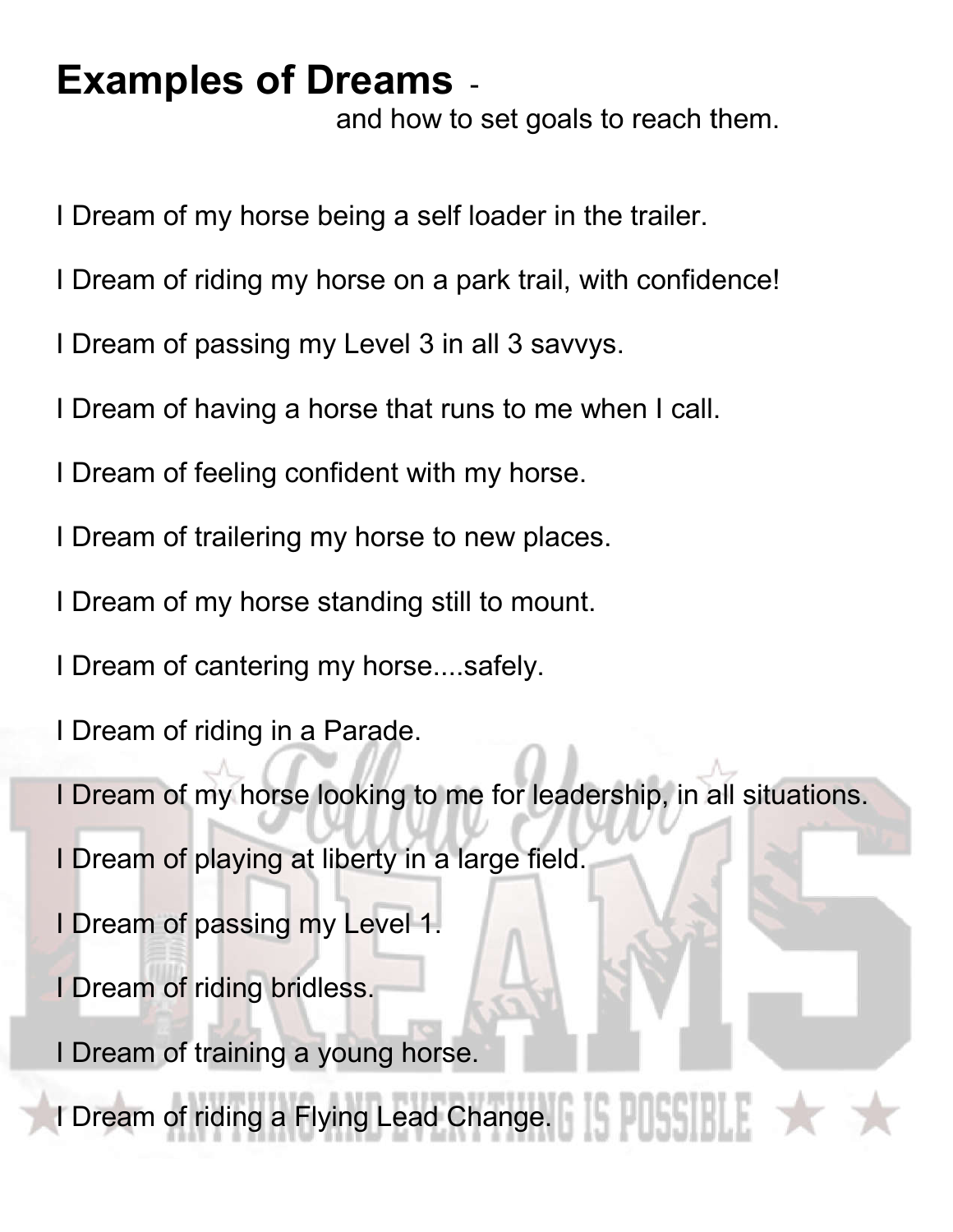## **Examples of Dreams** -

and how to set goals to reach them.

- I Dream of my horse being a self loader in the trailer.
- I Dream of riding my horse on a park trail, with confidence!
- I Dream of passing my Level 3 in all 3 savvys.
- I Dream of having a horse that runs to me when I call.
- I Dream of feeling confident with my horse.
- I Dream of trailering my horse to new places.
- I Dream of my horse standing still to mount.
- I Dream of cantering my horse....safely.
- I Dream of riding in a Parade.
- I Dream of my horse looking to me for leadership, in all situations.
- I Dream of playing at liberty in a large field.
- I Dream of passing my Level 1.
- I Dream of riding bridless.
- I Dream of training a young horse.
- I Dream of riding a Flying Lead Change. K E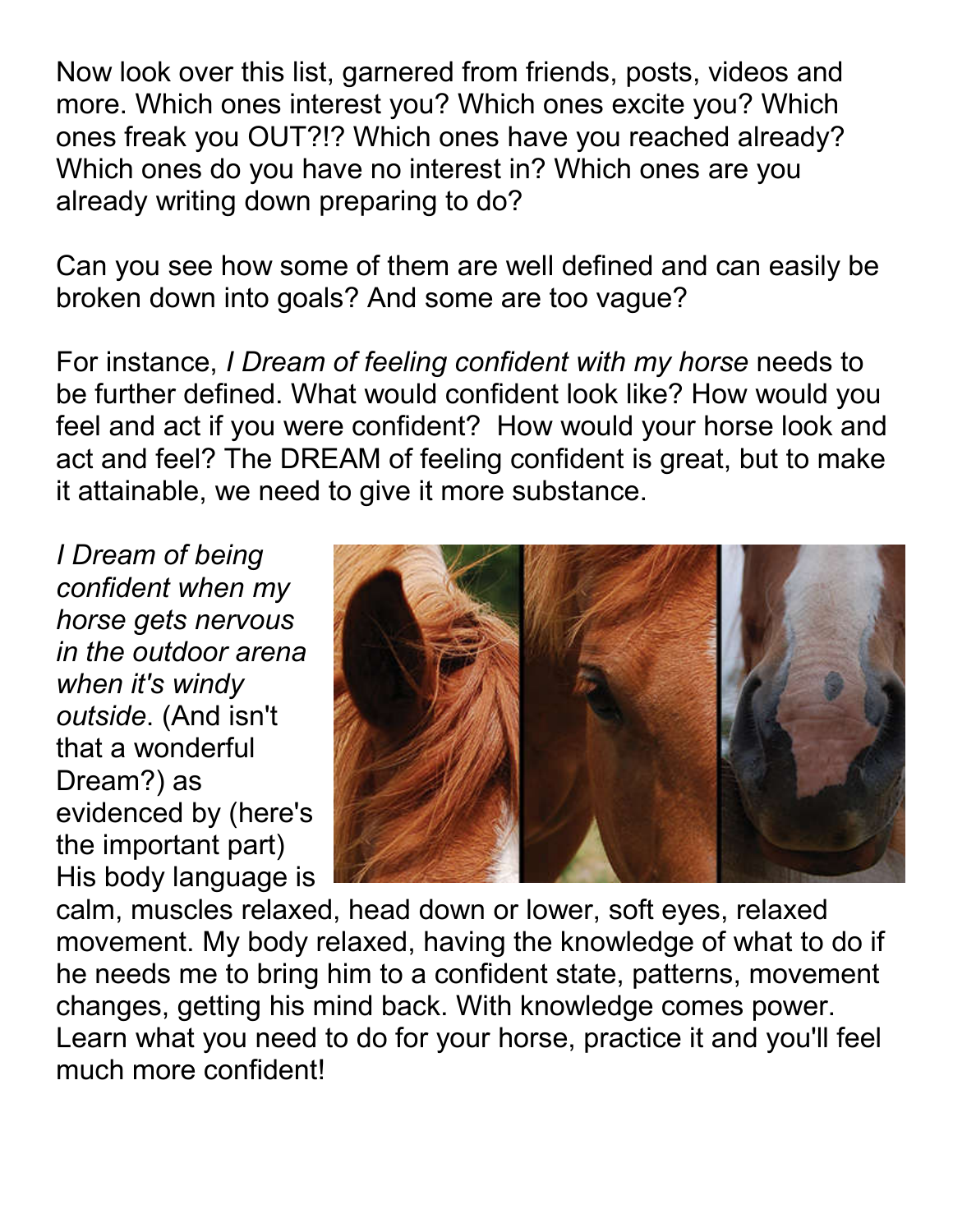Now look over this list, garnered from friends, posts, videos and more. Which ones interest you? Which ones excite you? Which ones freak you OUT?!? Which ones have you reached already? Which ones do you have no interest in? Which ones are you already writing down preparing to do?

Can you see how some of them are well defined and can easily be broken down into goals? And some are too vague?

For instance, *I Dream of feeling confident with my horse* needs to be further defined. What would confident look like? How would you feel and act if you were confident? How would your horse look and act and feel? The DREAM of feeling confident is great, but to make it attainable, we need to give it more substance.

*I Dream of being confident when my horse gets nervous in the outdoor arena when it's windy outside*. (And isn't that a wonderful Dream?) as evidenced by (here's the important part) His body language is



calm, muscles relaxed, head down or lower, soft eyes, relaxed movement. My body relaxed, having the knowledge of what to do if he needs me to bring him to a confident state, patterns, movement changes, getting his mind back. With knowledge comes power. Learn what you need to do for your horse, practice it and you'll feel much more confident!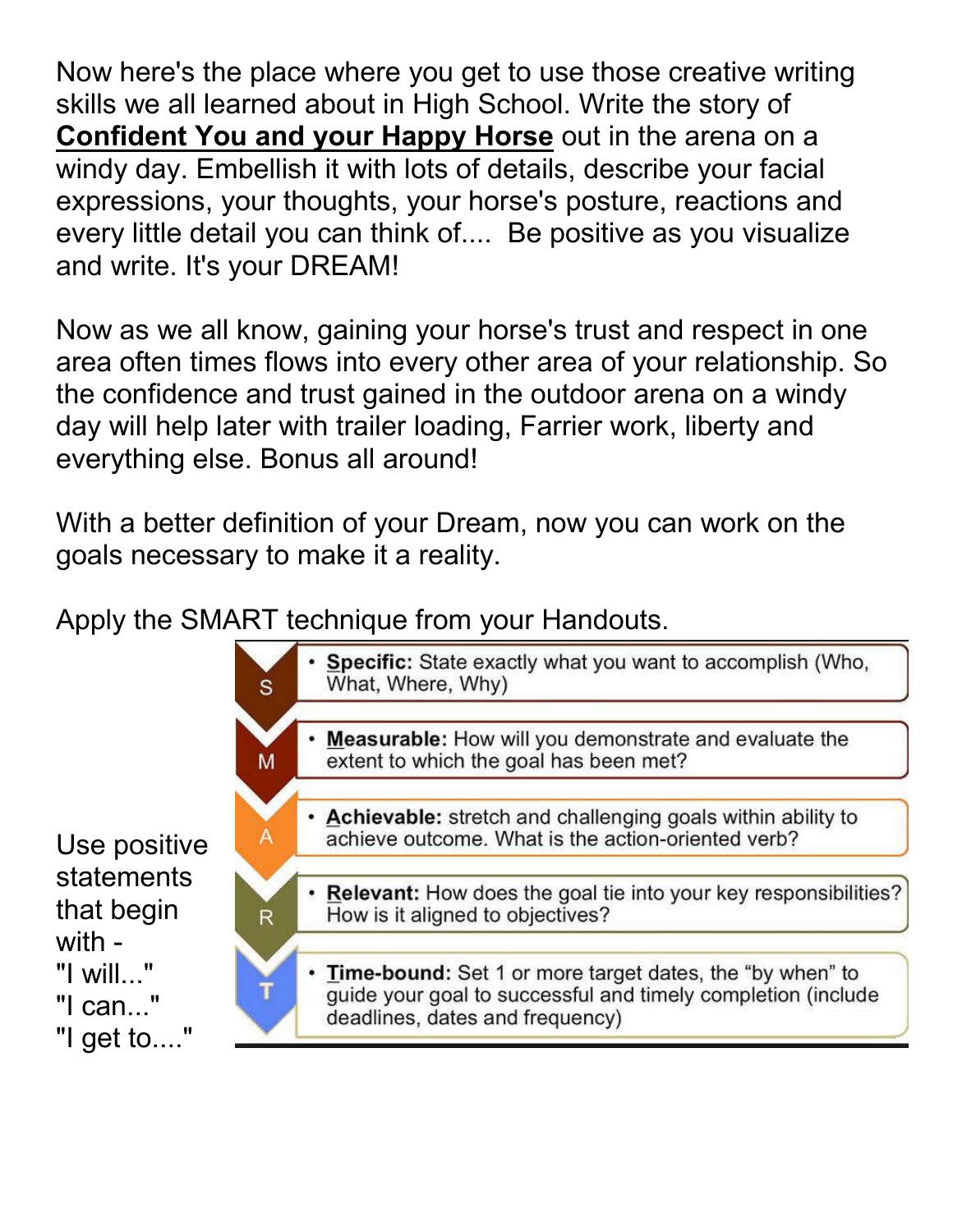Now here's the place where you get to use those creative writing skills we all learned about in High School. Write the story of **Confident You and your Happy Horse** out in the arena on a windy day. Embellish it with lots of details, describe your facial expressions, your thoughts, your horse's posture, reactions and every little detail you can think of.... Be positive as you visualize and write. It's your DREAM!

Now as we all know, gaining your horse's trust and respect in one area often times flows into every other area of your relationship. So the confidence and trust gained in the outdoor arena on a windy day will help later with trailer loading, Farrier work, liberty and everything else. Bonus all around!

With a better definition of your Dream, now you can work on the goals necessary to make it a reality.

Apply the SMART technique from your Handouts.



Use positive statements that begin with - "I will..." "I can..." "I get to...."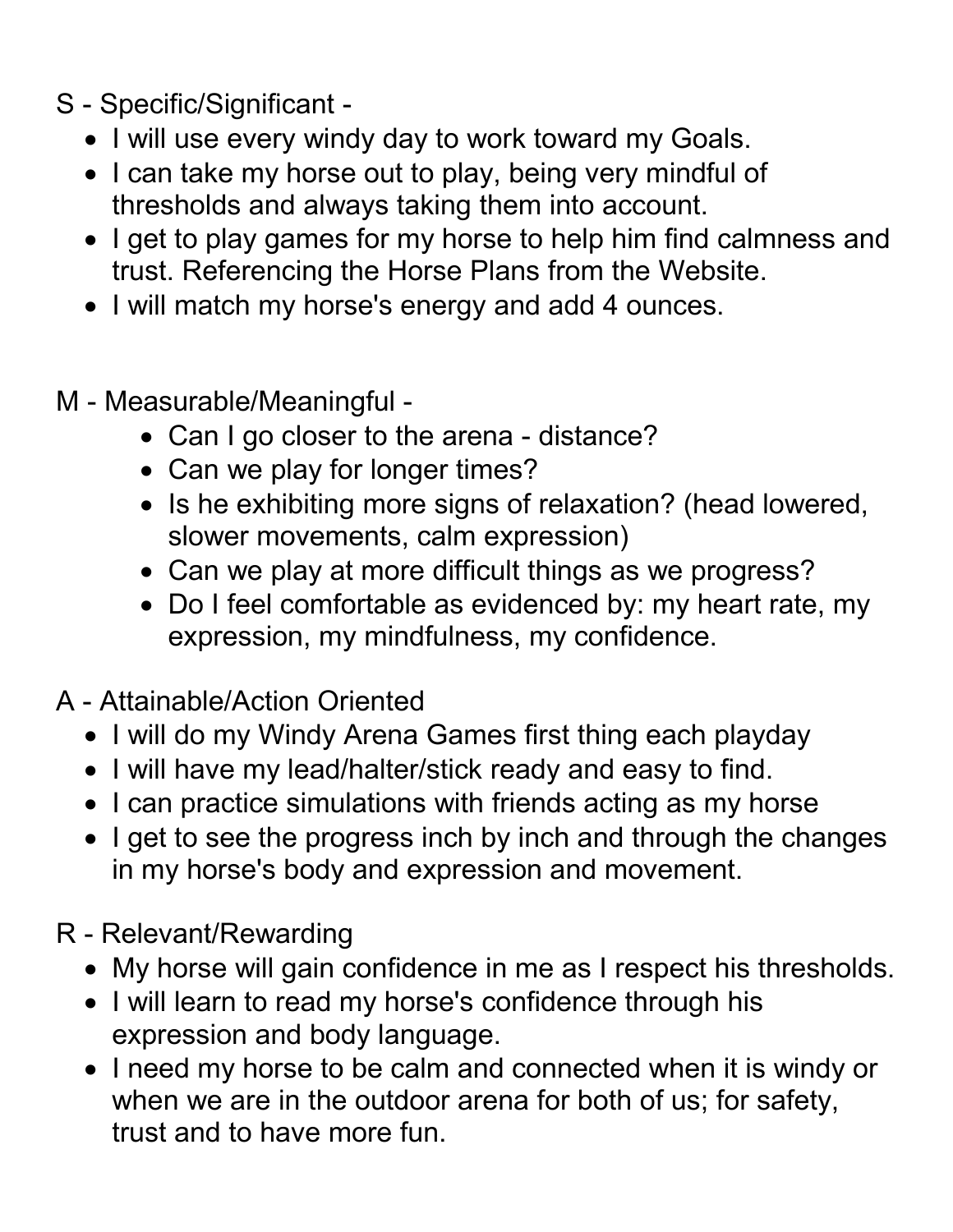- S Specific/Significant
	- I will use every windy day to work toward my Goals.
	- I can take my horse out to play, being very mindful of thresholds and always taking them into account.
	- I get to play games for my horse to help him find calmness and trust. Referencing the Horse Plans from the Website.
	- I will match my horse's energy and add 4 ounces.
- M Measurable/Meaningful
	- Can I go closer to the arena distance?
	- Can we play for longer times?
	- Is he exhibiting more signs of relaxation? (head lowered, slower movements, calm expression)
	- Can we play at more difficult things as we progress?
	- Do I feel comfortable as evidenced by: my heart rate, my expression, my mindfulness, my confidence.
- A Attainable/Action Oriented
	- I will do my Windy Arena Games first thing each playday
	- I will have my lead/halter/stick ready and easy to find.
	- I can practice simulations with friends acting as my horse
	- I get to see the progress inch by inch and through the changes in my horse's body and expression and movement.
- R Relevant/Rewarding
	- My horse will gain confidence in me as I respect his thresholds.
	- I will learn to read my horse's confidence through his expression and body language.
	- I need my horse to be calm and connected when it is windy or when we are in the outdoor arena for both of us; for safety, trust and to have more fun.